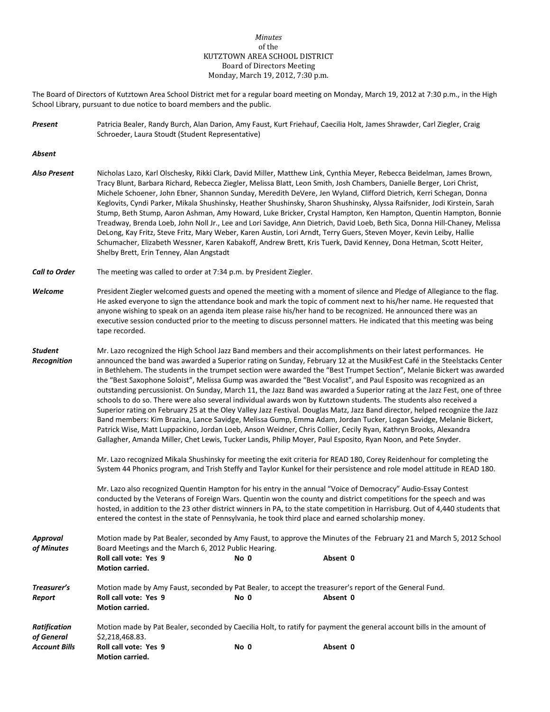## *Minutes* of the KUTZTOWN AREA SCHOOL DISTRICT Board of Directors Meeting Monday, March 19, 2012, 7:30 p.m.

The Board of Directors of Kutztown Area School District met for a regular board meeting on Monday, March 19, 2012 at 7:30 p.m., in the High School Library, pursuant to due notice to board members and the public.

*Present* Patricia Bealer, Randy Burch, Alan Darion, Amy Faust, Kurt Friehauf, Caecilia Holt, James Shrawder, Carl Ziegler, Craig Schroeder, Laura Stoudt (Student Representative)

*Absent*

- *Also Present* Nicholas Lazo, Karl Olschesky, Rikki Clark, David Miller, Matthew Link, Cynthia Meyer, Rebecca Beidelman, James Brown, Tracy Blunt, Barbara Richard, Rebecca Ziegler, Melissa Blatt, Leon Smith, Josh Chambers, Danielle Berger, Lori Christ, Michele Schoener, John Ebner, Shannon Sunday, Meredith DeVere, Jen Wyland, Clifford Dietrich, Kerri Schegan, Donna Keglovits, Cyndi Parker, Mikala Shushinsky, Heather Shushinsky, Sharon Shushinsky, Alyssa Raifsnider, Jodi Kirstein, Sarah Stump, Beth Stump, Aaron Ashman, Amy Howard, Luke Bricker, Crystal Hampton, Ken Hampton, Quentin Hampton, Bonnie Treadway, Brenda Loeb, John Noll Jr., Lee and Lori Savidge, Ann Dietrich, David Loeb, Beth Sica, Donna Hill-Chaney, Melissa DeLong, Kay Fritz, Steve Fritz, Mary Weber, Karen Austin, Lori Arndt, Terry Guers, Steven Moyer, Kevin Leiby, Hallie Schumacher, Elizabeth Wessner, Karen Kabakoff, Andrew Brett, Kris Tuerk, David Kenney, Dona Hetman, Scott Heiter, Shelby Brett, Erin Tenney, Alan Angstadt
- *Call to Order* The meeting was called to order at 7:34 p.m. by President Ziegler.

**Motion carried.**

- *Welcome* President Ziegler welcomed guests and opened the meeting with a moment of silence and Pledge of Allegiance to the flag. He asked everyone to sign the attendance book and mark the topic of comment next to his/her name. He requested that anyone wishing to speak on an agenda item please raise his/her hand to be recognized. He announced there was an executive session conducted prior to the meeting to discuss personnel matters. He indicated that this meeting was being tape recorded.
- *Student* Mr. Lazo recognized the High School Jazz Band members and their accomplishments on their latest performances. He *Recognition* announced the band was awarded a Superior rating on Sunday, February 12 at the MusikFest Café in the Steelstacks Center in Bethlehem. The students in the trumpet section were awarded the "Best Trumpet Section", Melanie Bickert was awarded the "Best Saxophone Soloist", Melissa Gump was awarded the "Best Vocalist", and Paul Esposito was recognized as an outstanding percussionist. On Sunday, March 11, the Jazz Band was awarded a Superior rating at the Jazz Fest, one of three schools to do so. There were also several individual awards won by Kutztown students. The students also received a Superior rating on February 25 at the Oley Valley Jazz Festival. Douglas Matz, Jazz Band director, helped recognize the Jazz Band members: Kim Brazina, Lance Savidge, Melissa Gump, Emma Adam, Jordan Tucker, Logan Savidge, Melanie Bickert, Patrick Wise, Matt Luppackino, Jordan Loeb, Anson Weidner, Chris Collier, Cecily Ryan, Kathryn Brooks, Alexandra Gallagher, Amanda Miller, Chet Lewis, Tucker Landis, Philip Moyer, Paul Esposito, Ryan Noon, and Pete Snyder.
	- Mr. Lazo recognized Mikala Shushinsky for meeting the exit criteria for READ 180, Corey Reidenhour for completing the System 44 Phonics program, and Trish Steffy and Taylor Kunkel for their persistence and role model attitude in READ 180.

Mr. Lazo also recognized Quentin Hampton for his entry in the annual "Voice of Democracy" Audio-Essay Contest conducted by the Veterans of Foreign Wars. Quentin won the county and district competitions for the speech and was hosted, in addition to the 23 other district winners in PA, to the state competition in Harrisburg. Out of 4,440 students that entered the contest in the state of Pennsylvania, he took third place and earned scholarship money.

| Approval<br>of Minutes | Motion made by Pat Bealer, seconded by Amy Faust, to approve the Minutes of the February 21 and March 5, 2012 School<br>Board Meetings and the March 6, 2012 Public Hearing. |      |          |  |  |
|------------------------|------------------------------------------------------------------------------------------------------------------------------------------------------------------------------|------|----------|--|--|
|                        | Roll call vote: Yes 9<br><b>Motion carried.</b>                                                                                                                              | No 0 | Absent 0 |  |  |
| Treasurer's            | Motion made by Amy Faust, seconded by Pat Bealer, to accept the treasurer's report of the General Fund.                                                                      |      |          |  |  |
| Report                 | Roll call vote: Yes 9<br><b>Motion carried.</b>                                                                                                                              | No 0 | Absent 0 |  |  |
| Ratification           | Motion made by Pat Bealer, seconded by Caecilia Holt, to ratify for payment the general account bills in the amount of                                                       |      |          |  |  |
| of General             | \$2,218,468.83.                                                                                                                                                              |      |          |  |  |
| <b>Account Bills</b>   | Roll call vote: Yes 9                                                                                                                                                        | No 0 | Absent 0 |  |  |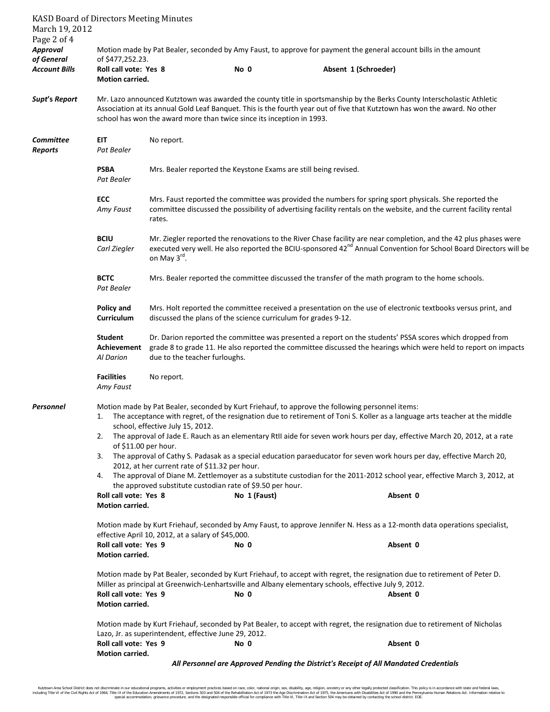| March 19, 2012                        | <b>KASD Board of Directors Meeting Minutes</b>                                                                                                                                      |                                                                                                                                                                                                                                                                                                                               |                                                                                                                                                   |                      |                                                                                                                                                                                                                                                                                                                                                                                                                                                                                                                        |  |  |
|---------------------------------------|-------------------------------------------------------------------------------------------------------------------------------------------------------------------------------------|-------------------------------------------------------------------------------------------------------------------------------------------------------------------------------------------------------------------------------------------------------------------------------------------------------------------------------|---------------------------------------------------------------------------------------------------------------------------------------------------|----------------------|------------------------------------------------------------------------------------------------------------------------------------------------------------------------------------------------------------------------------------------------------------------------------------------------------------------------------------------------------------------------------------------------------------------------------------------------------------------------------------------------------------------------|--|--|
| Page 2 of 4<br>Approval<br>of General | Motion made by Pat Bealer, seconded by Amy Faust, to approve for payment the general account bills in the amount<br>of \$477,252.23.                                                |                                                                                                                                                                                                                                                                                                                               |                                                                                                                                                   |                      |                                                                                                                                                                                                                                                                                                                                                                                                                                                                                                                        |  |  |
| Account Bills                         | Roll call vote: Yes 8<br>Motion carried.                                                                                                                                            |                                                                                                                                                                                                                                                                                                                               | No 0                                                                                                                                              | Absent 1 (Schroeder) |                                                                                                                                                                                                                                                                                                                                                                                                                                                                                                                        |  |  |
| Supt's Report                         |                                                                                                                                                                                     | Mr. Lazo announced Kutztown was awarded the county title in sportsmanship by the Berks County Interscholastic Athletic<br>Association at its annual Gold Leaf Banquet. This is the fourth year out of five that Kutztown has won the award. No other<br>school has won the award more than twice since its inception in 1993. |                                                                                                                                                   |                      |                                                                                                                                                                                                                                                                                                                                                                                                                                                                                                                        |  |  |
| Committee<br><b>Reports</b>           | EIT<br>Pat Bealer                                                                                                                                                                   | No report.                                                                                                                                                                                                                                                                                                                    |                                                                                                                                                   |                      |                                                                                                                                                                                                                                                                                                                                                                                                                                                                                                                        |  |  |
|                                       | <b>PSBA</b><br>Pat Bealer                                                                                                                                                           | Mrs. Bealer reported the Keystone Exams are still being revised.                                                                                                                                                                                                                                                              |                                                                                                                                                   |                      |                                                                                                                                                                                                                                                                                                                                                                                                                                                                                                                        |  |  |
|                                       | ECC<br>Amy Faust                                                                                                                                                                    | Mrs. Faust reported the committee was provided the numbers for spring sport physicals. She reported the<br>committee discussed the possibility of advertising facility rentals on the website, and the current facility rental<br>rates.                                                                                      |                                                                                                                                                   |                      |                                                                                                                                                                                                                                                                                                                                                                                                                                                                                                                        |  |  |
|                                       | <b>BCIU</b><br>Carl Ziegler                                                                                                                                                         | Mr. Ziegler reported the renovations to the River Chase facility are near completion, and the 42 plus phases were<br>executed very well. He also reported the BCIU-sponsored 42 <sup>nd</sup> Annual Convention for School Board Directors will be<br>on May 3rd.                                                             |                                                                                                                                                   |                      |                                                                                                                                                                                                                                                                                                                                                                                                                                                                                                                        |  |  |
|                                       | <b>BCTC</b><br>Pat Bealer                                                                                                                                                           | Mrs. Bealer reported the committee discussed the transfer of the math program to the home schools.                                                                                                                                                                                                                            |                                                                                                                                                   |                      |                                                                                                                                                                                                                                                                                                                                                                                                                                                                                                                        |  |  |
|                                       | Policy and<br>Curriculum                                                                                                                                                            |                                                                                                                                                                                                                                                                                                                               | discussed the plans of the science curriculum for grades 9-12.                                                                                    |                      | Mrs. Holt reported the committee received a presentation on the use of electronic textbooks versus print, and                                                                                                                                                                                                                                                                                                                                                                                                          |  |  |
|                                       | <b>Student</b><br>Achievement<br><b>Al Darion</b>                                                                                                                                   |                                                                                                                                                                                                                                                                                                                               | due to the teacher furloughs.                                                                                                                     |                      | Dr. Darion reported the committee was presented a report on the students' PSSA scores which dropped from<br>grade 8 to grade 11. He also reported the committee discussed the hearings which were held to report on impacts                                                                                                                                                                                                                                                                                            |  |  |
|                                       | <b>Facilities</b><br>Amy Faust                                                                                                                                                      | No report.                                                                                                                                                                                                                                                                                                                    |                                                                                                                                                   |                      |                                                                                                                                                                                                                                                                                                                                                                                                                                                                                                                        |  |  |
| Personnel                             | 2.<br>of \$11.00 per hour.<br>3.                                                                                                                                                    | school, effective July 15, 2012.                                                                                                                                                                                                                                                                                              | Motion made by Pat Bealer, seconded by Kurt Friehauf, to approve the following personnel items:<br>2012, at her current rate of \$11.32 per hour. |                      | 1. The acceptance with regret, of the resignation due to retirement of Toni S. Koller as a language arts teacher at the middle<br>The approval of Jade E. Rauch as an elementary RtII aide for seven work hours per day, effective March 20, 2012, at a rate<br>The approval of Cathy S. Padasak as a special education paraeducator for seven work hours per day, effective March 20,<br>4. The approval of Diane M. Zettlemoyer as a substitute custodian for the 2011-2012 school year, effective March 3, 2012, at |  |  |
|                                       |                                                                                                                                                                                     |                                                                                                                                                                                                                                                                                                                               | the approved substitute custodian rate of \$9.50 per hour.                                                                                        |                      |                                                                                                                                                                                                                                                                                                                                                                                                                                                                                                                        |  |  |
|                                       | Roll call vote: Yes 8<br>Motion carried.                                                                                                                                            |                                                                                                                                                                                                                                                                                                                               | No 1 (Faust)                                                                                                                                      |                      | Absent 0                                                                                                                                                                                                                                                                                                                                                                                                                                                                                                               |  |  |
|                                       | Motion made by Kurt Friehauf, seconded by Amy Faust, to approve Jennifer N. Hess as a 12-month data operations specialist,<br>effective April 10, 2012, at a salary of \$45,000.    |                                                                                                                                                                                                                                                                                                                               |                                                                                                                                                   |                      |                                                                                                                                                                                                                                                                                                                                                                                                                                                                                                                        |  |  |
|                                       | Roll call vote: Yes 9<br>Motion carried.                                                                                                                                            |                                                                                                                                                                                                                                                                                                                               | No 0                                                                                                                                              |                      | Absent 0                                                                                                                                                                                                                                                                                                                                                                                                                                                                                                               |  |  |
|                                       | Roll call vote: Yes 9<br><b>Motion carried.</b>                                                                                                                                     |                                                                                                                                                                                                                                                                                                                               | Miller as principal at Greenwich-Lenhartsville and Albany elementary schools, effective July 9, 2012.<br>No 0                                     |                      | Motion made by Pat Bealer, seconded by Kurt Friehauf, to accept with regret, the resignation due to retirement of Peter D.<br>Absent 0                                                                                                                                                                                                                                                                                                                                                                                 |  |  |
|                                       | Motion made by Kurt Friehauf, seconded by Pat Bealer, to accept with regret, the resignation due to retirement of Nicholas<br>Lazo, Jr. as superintendent, effective June 29, 2012. |                                                                                                                                                                                                                                                                                                                               |                                                                                                                                                   |                      |                                                                                                                                                                                                                                                                                                                                                                                                                                                                                                                        |  |  |
|                                       | Roll call vote: Yes 9<br>Motion carried.                                                                                                                                            |                                                                                                                                                                                                                                                                                                                               | No 0                                                                                                                                              |                      | Absent 0                                                                                                                                                                                                                                                                                                                                                                                                                                                                                                               |  |  |
|                                       | All Personnel are Approved Pending the District's Receipt of All Mandated Credentials                                                                                               |                                                                                                                                                                                                                                                                                                                               |                                                                                                                                                   |                      |                                                                                                                                                                                                                                                                                                                                                                                                                                                                                                                        |  |  |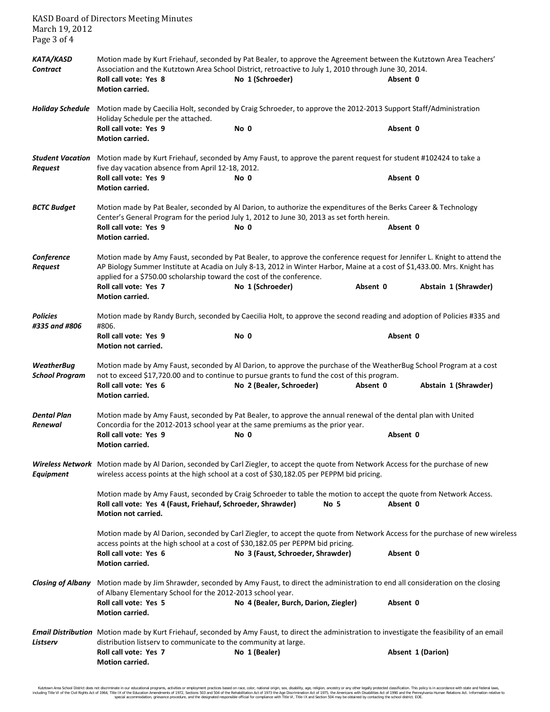| March 19, 2012<br>Page 3 of 4                                                                                                                                                                                                                                                                                                                           | <b>KASD Board of Directors Meeting Minutes</b>                                                                                                                                                                                                                                                                 |                                                                                                                                                                                                                                                 |          |                      |  |
|---------------------------------------------------------------------------------------------------------------------------------------------------------------------------------------------------------------------------------------------------------------------------------------------------------------------------------------------------------|----------------------------------------------------------------------------------------------------------------------------------------------------------------------------------------------------------------------------------------------------------------------------------------------------------------|-------------------------------------------------------------------------------------------------------------------------------------------------------------------------------------------------------------------------------------------------|----------|----------------------|--|
| KATA/KASD<br><b>Contract</b>                                                                                                                                                                                                                                                                                                                            | Motion made by Kurt Friehauf, seconded by Pat Bealer, to approve the Agreement between the Kutztown Area Teachers'<br>Association and the Kutztown Area School District, retroactive to July 1, 2010 through June 30, 2014.<br>Roll call vote: Yes 8<br>No 1 (Schroeder)<br>Absent 0<br><b>Motion carried.</b> |                                                                                                                                                                                                                                                 |          |                      |  |
| Motion made by Caecilia Holt, seconded by Craig Schroeder, to approve the 2012-2013 Support Staff/Administration<br><b>Holiday Schedule</b><br>Holiday Schedule per the attached.                                                                                                                                                                       |                                                                                                                                                                                                                                                                                                                |                                                                                                                                                                                                                                                 |          |                      |  |
|                                                                                                                                                                                                                                                                                                                                                         | Roll call vote: Yes 9<br>Motion carried.                                                                                                                                                                                                                                                                       | No 0                                                                                                                                                                                                                                            | Absent 0 |                      |  |
| <b>Request</b>                                                                                                                                                                                                                                                                                                                                          | five day vacation absence from April 12-18, 2012.<br>Roll call vote: Yes 9<br><b>Motion carried.</b>                                                                                                                                                                                                           | Student Vacation Motion made by Kurt Friehauf, seconded by Amy Faust, to approve the parent request for student #102424 to take a<br>No 0                                                                                                       | Absent 0 |                      |  |
| <b>BCTC Budget</b>                                                                                                                                                                                                                                                                                                                                      | Roll call vote: Yes 9                                                                                                                                                                                                                                                                                          | Motion made by Pat Bealer, seconded by Al Darion, to authorize the expenditures of the Berks Career & Technology<br>Center's General Program for the period July 1, 2012 to June 30, 2013 as set forth herein.<br>No 0<br>Absent 0              |          |                      |  |
|                                                                                                                                                                                                                                                                                                                                                         | <b>Motion carried.</b>                                                                                                                                                                                                                                                                                         |                                                                                                                                                                                                                                                 |          |                      |  |
| Conference<br>Motion made by Amy Faust, seconded by Pat Bealer, to approve the conference request for Jennifer L. Knight to attend the<br>AP Biology Summer Institute at Acadia on July 8-13, 2012 in Winter Harbor, Maine at a cost of \$1,433.00. Mrs. Knight has<br>Request<br>applied for a \$750.00 scholarship toward the cost of the conference. |                                                                                                                                                                                                                                                                                                                |                                                                                                                                                                                                                                                 |          |                      |  |
|                                                                                                                                                                                                                                                                                                                                                         | Roll call vote: Yes 7<br>Motion carried.                                                                                                                                                                                                                                                                       | No 1 (Schroeder)                                                                                                                                                                                                                                | Absent 0 | Abstain 1 (Shrawder) |  |
| <b>Policies</b><br>#335 and #806                                                                                                                                                                                                                                                                                                                        | #806.                                                                                                                                                                                                                                                                                                          | Motion made by Randy Burch, seconded by Caecilia Holt, to approve the second reading and adoption of Policies #335 and                                                                                                                          |          |                      |  |
|                                                                                                                                                                                                                                                                                                                                                         | Roll call vote: Yes 9<br>Motion not carried.                                                                                                                                                                                                                                                                   | No 0                                                                                                                                                                                                                                            | Absent 0 |                      |  |
| <b>WeatherBug</b><br><b>School Program</b>                                                                                                                                                                                                                                                                                                              | Roll call vote: Yes 6                                                                                                                                                                                                                                                                                          | Motion made by Amy Faust, seconded by Al Darion, to approve the purchase of the WeatherBug School Program at a cost<br>not to exceed \$17,720.00 and to continue to pursue grants to fund the cost of this program.<br>No 2 (Bealer, Schroeder) | Absent 0 | Abstain 1 (Shrawder) |  |
|                                                                                                                                                                                                                                                                                                                                                         | <b>Motion carried.</b>                                                                                                                                                                                                                                                                                         |                                                                                                                                                                                                                                                 |          |                      |  |
| Dental Plan<br>Renewal                                                                                                                                                                                                                                                                                                                                  | Concordia for the 2012-2013 school year at the same premiums as the prior year.<br>Roll call vote: Yes 9<br><b>Motion carried.</b>                                                                                                                                                                             | Motion made by Amy Faust, seconded by Pat Bealer, to approve the annual renewal of the dental plan with United<br>No 0                                                                                                                          | Absent 0 |                      |  |
| Equipment                                                                                                                                                                                                                                                                                                                                               |                                                                                                                                                                                                                                                                                                                | Wireless Network Motion made by Al Darion, seconded by Carl Ziegler, to accept the quote from Network Access for the purchase of new<br>wireless access points at the high school at a cost of \$30,182.05 per PEPPM bid pricing.               |          |                      |  |
|                                                                                                                                                                                                                                                                                                                                                         | Roll call vote: Yes 4 (Faust, Friehauf, Schroeder, Shrawder)<br>Motion not carried.                                                                                                                                                                                                                            | Motion made by Amy Faust, seconded by Craig Schroeder to table the motion to accept the quote from Network Access.<br>No 5                                                                                                                      | Absent 0 |                      |  |
|                                                                                                                                                                                                                                                                                                                                                         | access points at the high school at a cost of \$30,182.05 per PEPPM bid pricing.<br>Roll call vote: Yes 6<br><b>Motion carried.</b>                                                                                                                                                                            | Motion made by Al Darion, seconded by Carl Ziegler, to accept the quote from Network Access for the purchase of new wireless<br>No 3 (Faust, Schroeder, Shrawder)                                                                               | Absent 0 |                      |  |
|                                                                                                                                                                                                                                                                                                                                                         |                                                                                                                                                                                                                                                                                                                | Closing of Albany Motion made by Jim Shrawder, seconded by Amy Faust, to direct the administration to end all consideration on the closing                                                                                                      |          |                      |  |
|                                                                                                                                                                                                                                                                                                                                                         | of Albany Elementary School for the 2012-2013 school year.<br>Roll call vote: Yes 5<br>Motion carried.                                                                                                                                                                                                         | No 4 (Bealer, Burch, Darion, Ziegler)                                                                                                                                                                                                           | Absent 0 |                      |  |
| Listserv                                                                                                                                                                                                                                                                                                                                                | distribution listserv to communicate to the community at large.                                                                                                                                                                                                                                                | Email Distribution Motion made by Kurt Friehauf, seconded by Amy Faust, to direct the administration to investigate the feasibility of an email                                                                                                 |          |                      |  |
|                                                                                                                                                                                                                                                                                                                                                         | Roll call vote: Yes 7<br><b>Motion carried.</b>                                                                                                                                                                                                                                                                | No 1 (Bealer)                                                                                                                                                                                                                                   |          | Absent 1 (Darion)    |  |

Kutztown Area School District does not discriminate in our educational programs, activities or employment practices based on race, color, national orgion, ance, althan ances in methan prototer least including Title Video I